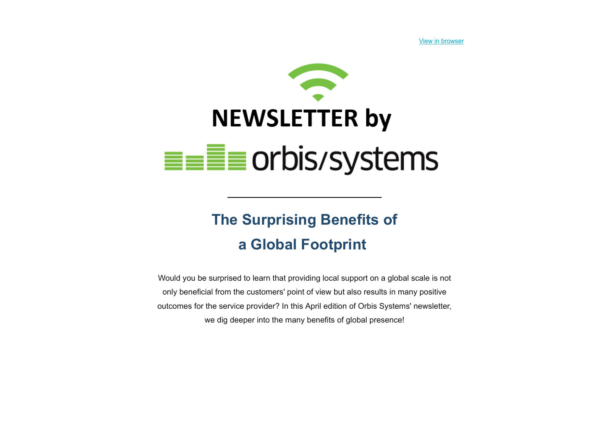[View in browser](http://7767610.hs-sites.com/orbis-systems-newsletter-2/2022-the-surprising-benefits-of-a-global-footprint?ecid=ACsprvuW47paTjfhqBQKcpAhNTbM9pv6f8fUzFUy2n1frr95vOGCVO0HuHFy8MtpLC8k00pMpxOS&utm_source=hs_email&utm_medium=email&utm_content=210660177&_hsenc=p2ANqtz-_JKKR7lV-u0zdw9B45VE76MddBqZ-XAuFFLvi5nv7-O4tjgz28SM04LmesPesdKyydNzWuhpWiKXWfGpErOKxbbQXlryNCyWZPd1x58r1qYRuvLrk)



## **The Surprising Benefits of a Global Footprint**

Would you be surprised to learn that providing local support on a global scale is not only beneficial from the customers' point of view but also results in many positive outcomes for the service provider? In this April edition of Orbis Systems' newsletter, we dig deeper into the many benefits of global presence!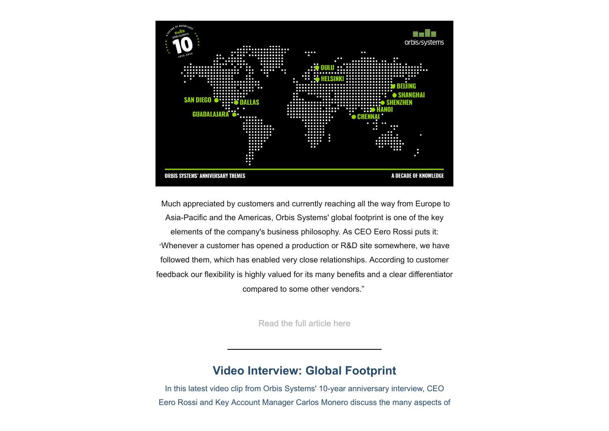

Much appreciated by customers and currently reaching all the way from Europe to Asia-Pacific and the Americas, Orbis Systems' global footprint is one of the key elements of the company's business philosophy. As CEO Eero Rossi puts it: "Whenever a customer has opened a production or R&D site somewhere, we have followed them, which has enabled very close relationships. According to customer feedback our flexibility is highly valued for its many benefits and a clear differentiator compared to some other vendors."

[Read the full article here](https://bit.ly/3EsDFnF?utm_source=hs_email&utm_medium=email&utm_content=210660177&_hsenc=p2ANqtz-_JKKR7lV-u0zdw9B45VE76MddBqZ-XAuFFLvi5nv7-O4tjgz28SM04LmesPesdKyydNzWuhpWiKXWfGpErOKxbbQXlryNCyWZPd1x58r1qYRuvLrk)

## **Video Interview: Global Footprint**

In this latest video clip from Orbis Systems' 10-year anniversary interview, CEO Eero Rossi and Key Account Manager Carlos Monero discuss the many aspects of